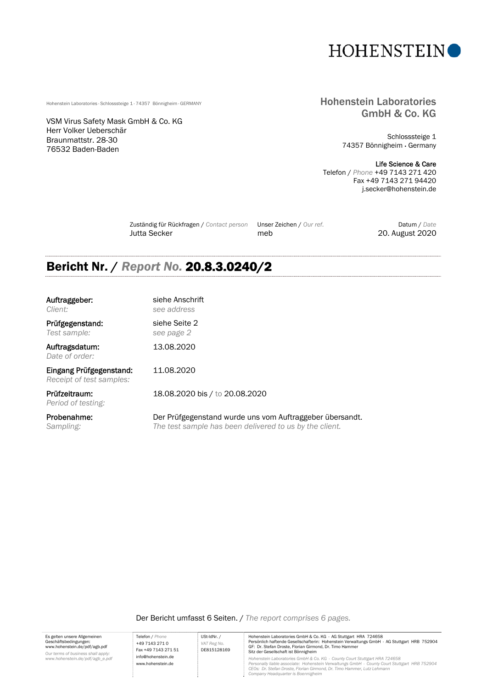

VSM Virus Safety Mask GmbH & Co. KG Herr Volker Ueberschär Braunmattstr. 28-30 76532 Baden-Baden

Es gelten unsere Allgemeinen Geschäftsbedingungen: www.hohenstein.de/pdf/agb.pdf *Our terms of business shall apply: www.hohenstein.de/pdf/agb\_e.pdf*

#### Hohenstein Laboratories · Schlosssteige 1 · 74357 Bönnigheim · GERMANY **Hohenstein Laboratories · Schlosssteige 1 · 74357 Bönnigheim · GERMANY** GmbH & Co. KG

Schlosssteige 1 74357 Bönnigheim Germany

#### Life Science & Care

Telefon / *Phone* +49 7143 271 420 Fax +49 7143 271 94420 j.secker@hohenstein.de

 Zuständig für Rückfragen / *Contact person* Unser Zeichen / *Our ref.* Datum / *Date* Jutta Secker meb 20. August 2020

# Bericht Nr. / *Report No.* 20.8.3.0240/2

| Auftraggeber:<br>Client:                            | siehe Anschrift<br>see address                                                                                      |
|-----------------------------------------------------|---------------------------------------------------------------------------------------------------------------------|
| Prüfgegenstand:<br>Test sample:                     | siehe Seite 2<br>see page 2                                                                                         |
| Auftragsdatum:<br>Date of order:                    | 13.08.2020                                                                                                          |
| Eingang Prüfgegenstand:<br>Receipt of test samples: | 11.08.2020                                                                                                          |
| Prüfzeitraum:<br>Period of testing:                 | 18.08.2020 bis / to 20.08.2020                                                                                      |
| Probenahme:<br>Sampling:                            | Der Prüfgegenstand wurde uns vom Auftraggeber übersandt.<br>The test sample has been delivered to us by the client. |

Der Bericht umfasst 6 Seiten. / *The report comprises 6 pages.* 

Telefon / *Phone* +49 7143 271 0 Fax +49 7143 271 51 info@hohenstein.de www.hohenstein.de USt-IdNr. / *VAT Reg No.*  DE815128169 Hohenstein Laboratories GmbH & Co. KG · AG Stuttgart HRA 724658<br>Persönlich haftende Gesellschafterin: Hohenstein Verwaltungs GmbH · AG Stuttgart HRB 752904<br>GF: Dr. Stefan Droste, Florian Girmond, Dr. Timo Hammer Sitz der Gesellschaft ist Bönnigheim *Hohenstein Laboratories GmbH & Co. KG · County Court Stuttgart HRA 724658 Personally liable associate: Hohenstein Verwaltungs GmbH · County Court Stuttgart HRB 752904 CEOs: Dr. Stefan Droste, Florian Girmond, Dr. Timo Hammer, Lutz Lehmann Company Headquarter is Boennigheim*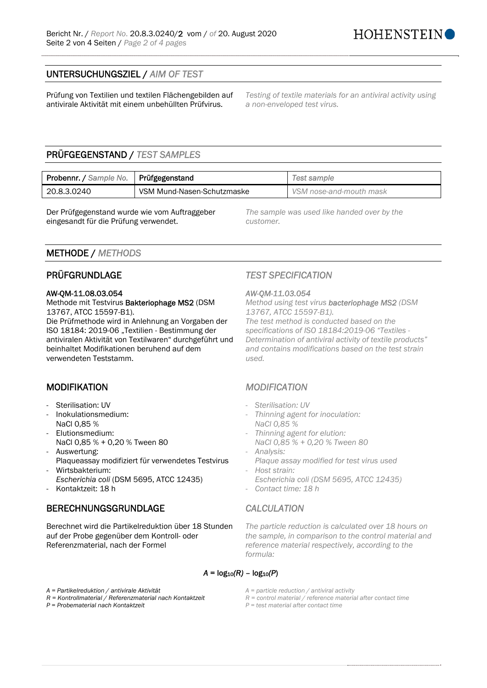### UNTERSUCHUNGSZIEL / *AIM OF TEST*

Prüfung von Textilien und textilen Flächengebilden auf antivirale Aktivität mit einem unbehüllten Prüfvirus.

*Testing of textile materials for an antiviral activity using a non-enveloped test virus.* 

# PRÜFGEGENSTAND / *TEST SAMPLES*

| Probennr. / Sample No.   Prüfgegenstand |                            | Test sample             |
|-----------------------------------------|----------------------------|-------------------------|
| 20.8.3.0240                             | VSM Mund-Nasen-Schutzmaske | VSM nose-and-mouth mask |

Der Prüfgegenstand wurde wie vom Auftraggeber eingesandt für die Prüfung verwendet.

*The sample was used like handed over by the customer.* 

### METHODE / *METHODS*

#### AW-QM-11.08.03.054 *AW-QM-11.03.054*

Methode mit Testvirus Bakteriophage MS2 (DSM 13767, ATCC 15597-B1).

Die Prüfmethode wird in Anlehnung an Vorgaben der ISO 18184: 2019-06 "Textilien - Bestimmung der antiviralen Aktivität von Textilwaren" durchgeführt und beinhaltet Modifikationen beruhend auf dem verwendeten Teststamm.

- 
- Inokulationsmedium: NaCl 0,85 %
- Elutionsmedium:
- NaCl 0,85 % + 0,20 % Tween 80 - Auswertung:
- Plaqueassay modifiziert für verwendetes Testvirus - Wirtsbakterium:
- *Escherichia coli* (DSM 5695, ATCC 12435) - Kontaktzeit: 18 h - *Contact time: 18 h*

### BERECHNUNGSGRUNDLAGE *CALCULATION*

Berechnet wird die Partikelreduktion über 18 Stunden auf der Probe gegenüber dem Kontroll- oder Referenzmaterial, nach der Formel

# PRÜFGRUNDLAGE *TEST SPECIFICATION*

*Method using test virus bacteriophage MS2 (DSM 13767, ATCC 15597-B1). The test method is conducted based on the specifications of ISO 18184:2019-06 "Textiles - Determination of antiviral activity of textile products" and contains modifications based on the test strain used.* 

### MODIFIKATION *MODIFICATION*

- Sterilisation: UV *Sterilisation: UV Sterilisation: UV* 
	- *Thinning agent for inoculation: NaCl 0,85 %*
	- *Thinning agent for elution: NaCl 0,85 % + 0,20 % Tween 80*
	- *Analysis:*
	- *Plaque assay modified for test virus used*  - *Host strain:*
	- *Escherichia coli (DSM 5695, ATCC 12435)*

*The particle reduction is calculated over 18 hours on the sample, in comparison to the control material and reference material respectively, according to the formula:* 

### $A = log_{10}(R) - log_{10}(P)$

*A = Partikelreduktion / antivirale Aktivität A = particle reduction / antiviral activity* 

*P = Probematerial nach Kontaktzeit P = test material after contact time* 

- 
- *R = Kontrollmaterial / Referenzmaterial nach Kontaktzeit R = control material / reference material after contact time* 
	-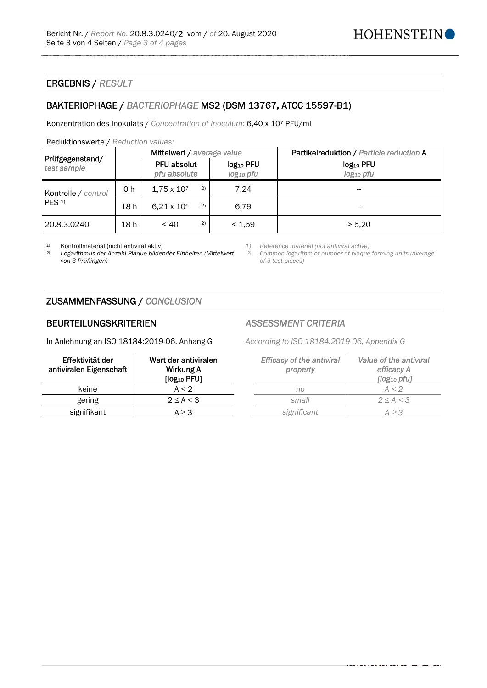#### ERGEBNIS / *RESULT*

### BAKTERIOPHAGE / *BACTERIOPHAGE* MS2 (DSM 13767, ATCC 15597-B1)

Konzentration des Inokulats / *Concentration of inoculum:* 6,40 x 107 PFU/ml

#### Reduktionswerte / *Reduction values:*

|                                         | Mittelwert / average value |                             |                                                | Partikelreduktion / Particle reduction A       |
|-----------------------------------------|----------------------------|-----------------------------|------------------------------------------------|------------------------------------------------|
| Prüfgegenstand/<br>test sample          |                            | PFU absolut<br>pfu absolute | log <sub>10</sub> PFU<br>log <sub>10</sub> pfu | log <sub>10</sub> PFU<br>log <sub>10</sub> pfu |
| Kontrolle / control<br>PES <sub>1</sub> | 0 <sub>h</sub>             | 2)<br>$1.75 \times 10^{7}$  | 7.24                                           |                                                |
|                                         | 18 h                       | 2)<br>$6.21 \times 10^6$    | 6.79                                           | --                                             |
| 20.8.3.0240                             | 18 h                       | 2)<br>~< 40                 | < 1.59                                         | > 5.20                                         |

*2) Logarithmus der Anzahl Plaque-bildender Einheiten (Mittelwert von 3 Prüflingen)*

*1)* Kontrollmaterial (nicht antiviral aktiv) *1) Reference material (not antiviral active)*

*2) Common logarithm of number of plaque forming units (average of 3 test pieces)*

### ZUSAMMENFASSUNG / *CONCLUSION*

#### BEURTEILUNGSKRITERIEN *ASSESSMENT CRITERIA*

In Anlehnung an ISO 18184:2019-06, Anhang G *According to ISO 18184:2019-06, Appendix G*

| Effektivität der<br>antiviralen Eigenschaft | Wert der antiviralen<br>Wirkung A<br>[log <sub>10</sub> PFU] | <b>Efficacy of the antiviral</b><br>property | Value of the a<br>efficacy<br>[log <sub>10</sub> pi |
|---------------------------------------------|--------------------------------------------------------------|----------------------------------------------|-----------------------------------------------------|
| keine                                       | A < 2                                                        | no                                           | A < 2                                               |
| gering                                      | $2 \leq A < 3$                                               | small                                        | $2 \leq A \leq$                                     |
| signifikant                                 | $A \geq 3$                                                   | significant                                  | A > 3                                               |

| ktivität der<br>en Eigenschaft | Wert der antiviralen<br>Wirkung A<br>[log <sub>10</sub> PFU] | <b>Efficacy of the antiviral</b><br>property | Value of the antiviral<br>efficacy A<br>$[log_{10}$ pfu] |
|--------------------------------|--------------------------------------------------------------|----------------------------------------------|----------------------------------------------------------|
| keine                          | A < 2                                                        | no                                           | A < 2                                                    |
| gering                         | $2 \leq A < 3$                                               | small                                        | $2 \leq A < 3$                                           |
| ≤nifikant                      | $A \geq 3$                                                   | significant                                  | A > 3                                                    |